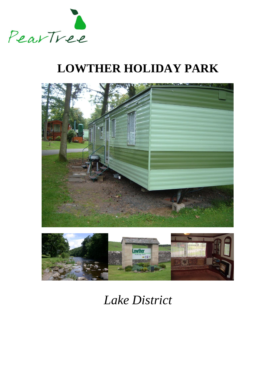

# **LOWTHER HOLIDAY PARK**





# *Lake District*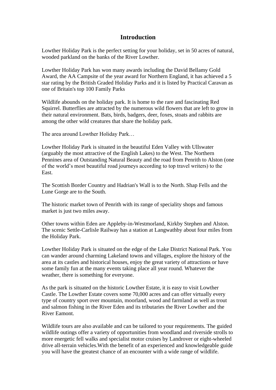## **Introduction**

Lowther Holiday Park is the perfect setting for your holiday, set in 50 acres of natural, wooded parkland on the banks of the River Lowther.

Lowther Holiday Park has won many awards including the David Bellamy Gold Award, the AA Campsite of the year award for Northern England, it has achieved a 5 star rating by the British Graded Holiday Parks and it is listed by Practical Caravan as one of Britain's top 100 Family Parks

Wildlife abounds on the holiday park. It is home to the rare and fascinating Red Squirrel. Butterflies are attracted by the numerous wild flowers that are left to grow in their natural environment. Bats, birds, badgers, deer, foxes, stoats and rabbits are among the other wild creatures that share the holiday park.

The area around Lowther Holiday Park…

Lowther Holiday Park is situated in the beautiful Eden Valley with Ullswater (arguably the most attractive of the English Lakes) to the West. The Northern Pennines area of Outstanding Natural Beauty and the road from Penrith to Alston (one of the world's most beautiful road journeys according to top travel writers) to the East.

The Scottish Border Country and Hadrian's Wall is to the North. Shap Fells and the Lune Gorge are to the South.

The historic market town of Penrith with its range of speciality shops and famous market is just two miles away.

Other towns within Eden are Appleby-in-Westmorland, Kirkby Stephen and Alston. The scenic Settle-Carlisle Railway has a station at Langwathby about four miles from the Holiday Park.

Lowther Holiday Park is situated on the edge of the Lake District National Park. You can wander around charming Lakeland towns and villages, explore the history of the area at its castles and historical houses, enjoy the great variety of attractions or have some family fun at the many events taking place all year round. Whatever the weather, there is something for everyone.

As the park is situated on the historic Lowther Estate, it is easy to visit Lowther Castle. The Lowther Estate covers some 70,000 acres and can offer virtually every type of country sport over mountain, moorland, wood and farmland as well as trout and salmon fishing in the River Eden and its tributaries the River Lowther and the River Eamont.

Wildlife tours are also available and can be tailored to your requirements. The guided wildlife outings offer a variety of opportunities from woodland and riverside strolls to more energetic fell walks and specialist motor cruises by Landrover or eight-wheeled drive all-terrain vehicles.With the benefit of an experienced and knowledgeable guide you will have the greatest chance of an encounter with a wide range of wildlife.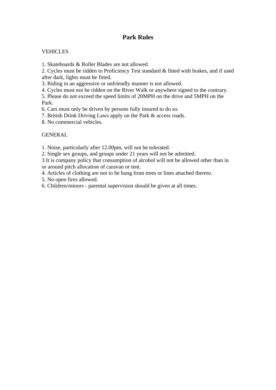## **Park Rules**

### **VEHICLES**

1. Skateboards & Roller Blades are not allowed.

2. Cycles must be ridden to Proficiency Test standard & fitted with brakes, and if used after dark, lights must be fitted.

3. Riding in an aggressive or unfriendly manner is not allowed.

4. Cycles must not be ridden on the River Walk or anywhere signed to the contrary.

5. Please do not exceed the speed limits of 20MPH on the drive and 5MPH on the Park.

6. Cars must only be driven by persons fully insured to do so.

7. British Drink Driving Laws apply on the Park & access roads.

8. No commercial vehicles.

### **GENERAL**

1. Noise, particularly after 12.00pm, will not be tolerated.

2. Single sex groups, and groups under 21 years will not be admitted.

3 It is company policy that consumption of alcohol will not be allowed other than in or around pitch allocation of caravan or tent.

4. Articles of clothing are not to be hung from trees or lines attached thereto.

5. No open fires allowed.

6. Children/minors - parental supervision should be given at all times.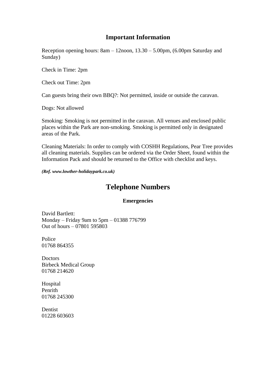## **Important Information**

Reception opening hours: 8am – 12noon, 13.30 – 5.00pm, (6.00pm Saturday and Sunday)

Check in Time: 2pm

Check out Time: 2pm

Can guests bring their own BBQ?: Not permitted, inside or outside the caravan.

Dogs: Not allowed

Smoking: Smoking is not permitted in the caravan. All venues and enclosed public places within the Park are non-smoking. Smoking is permitted only in designated areas of the Park.

Cleaning Materials: In order to comply with COSHH Regulations, Pear Tree provides all cleaning materials. Supplies can be ordered via the Order Sheet, found within the Information Pack and should be returned to the Office with checklist and keys.

*(Ref. www.lowther-holidaypark.co.uk)*

## **Telephone Numbers**

#### **Emergencies**

David Bartlett: Monday – Friday 9am to 5pm – 01388 776799 Out of hours – 07801 595803

Police 01768 864355

**Doctors** Birbeck Medical Group 01768 214620

Hospital Penrith 01768 245300

Dentist 01228 603603